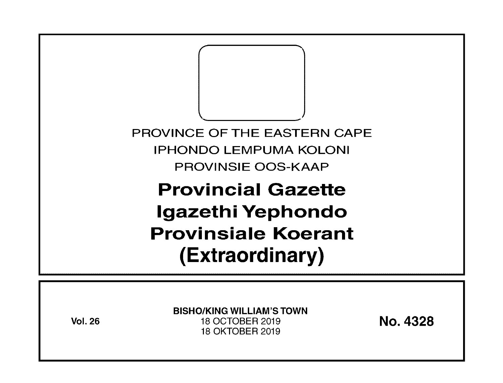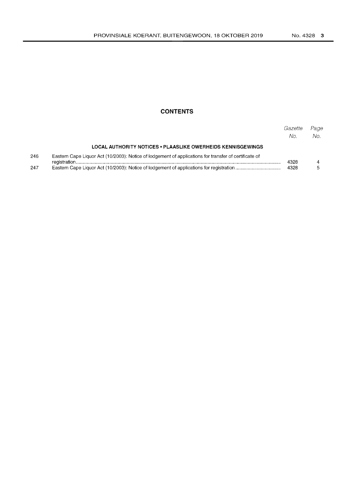## **CONTENTS**

|     |                                                                                                       | Gazette<br>No. | Page<br>No. |
|-----|-------------------------------------------------------------------------------------------------------|----------------|-------------|
|     | LOCAL AUTHORITY NOTICES . PLAASLIKE OWERHEIDS KENNISGEWINGS                                           |                |             |
| 246 | Eastern Cape Liquor Act (10/2003): Notice of lodgement of applications for transfer of certificate of | 4328           |             |
| 247 |                                                                                                       |                |             |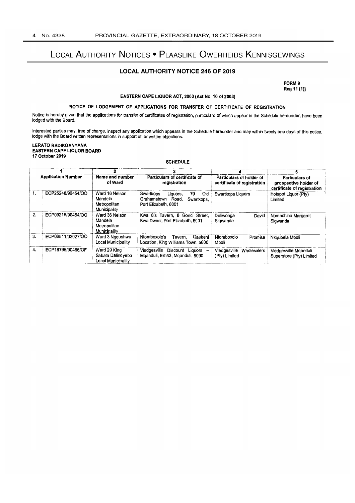# LOCAL AUTHORITY NOTICES . PLAASLIKE OWERHEIDS KENNISGEWINGS

### **LOCAL AUTHORITY NOTICE 246 OF 2019**

FORM 9 Reg 11 (1)]

#### EASTERN CAPE LIQUOR ACT, 2003 (Act No. 10 of 2003)

### NOTICE OF LODGEMENT OF APPLICATIONS FOR TRANSFER OF CERTIFICATE OF REGISTRATION

Notice is hereby given that the applications for transfer of certificates of registration, particulars of which appear in the Schedule hereunder, have been lodged with the Board.

Interested parties may, free of charge, inspect any application which appears in the Schedule hereunder and may within twenty one days of this notice, lodge with the Board written representations in support of, or written objections.

**LERATO RADIKOANYANA EASTERN CAPE LIQUOR BOARD** 17 October 2019

#### **SCHEDULE**

| <b>Application Number</b> |                   |                                                                             |                                                                                                  |                                                         |                                                                        |
|---------------------------|-------------------|-----------------------------------------------------------------------------|--------------------------------------------------------------------------------------------------|---------------------------------------------------------|------------------------------------------------------------------------|
|                           |                   | Name and number<br>Particulars of certificate of<br>of Ward<br>registration |                                                                                                  | Particulars of holder of<br>certificate of registration | Particulars of<br>prospective holder of<br>certificate of registration |
| 1.                        | ECP25248/90454/OO | Ward 16 Nelson<br>Mandela<br>Metropolitan<br>Municipality                   | 79<br>Old<br>Swartkops<br>Liquors.<br>Grahamstown<br>Road,<br>Swartkops,<br>Port Elizabeth, 6001 | Swartkops Liquors                                       | Hotspot Liquor (Ptv)<br>Limited                                        |
| 2.                        | ECP09216/90454/OO | Ward 36 Nelson<br>Mandela<br>Metropolitan<br>Municipality                   | Kwa 8's Tavern, 8 Gonci Street,<br>Kwa Dwesi, Port Elizabeth, 6001                               | Daliwonga<br>David<br>Sigwanda                          | Nomachina Margaret<br>Sigwanda                                         |
| 3.                        | ECP06511/03027/OO | Ward 3 Nggushwa<br>Local Municipality                                       | Ntomboxolo's<br>Qaukeni<br>Tavem.<br>Location, King Williams Town, 5600                          | Ntomboxolo<br>Promise<br>Mpoli                          | Nkqubela Mpoli                                                         |
| 4.                        | ECP18795/90466/OF | Ward 29 King<br>Sabata Dalindyebo<br>Local Municipality                     | Viedgesville<br>Discount Liquors<br>Mganduli, Erf 53, Mganduli, 5090                             | Viedgesville<br>Wholesalers<br>(Pty) Limited            | Viedgesville Mganduli<br>Superstore (Pty) Limited                      |